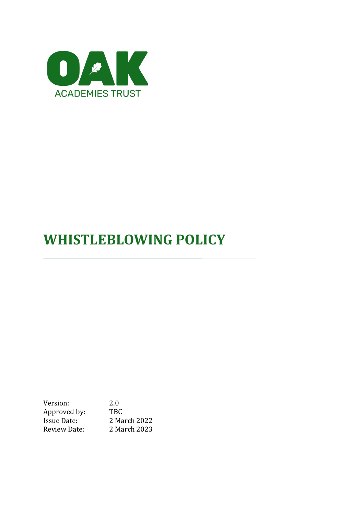

# **WHISTLEBLOWING POLICY**

Version: 2.0 Approved by: TBC<br>Issue Date: 2 Ma 2 March 2022 Review Date: 2 March 2023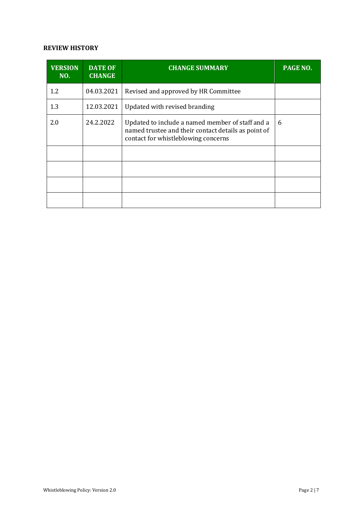#### **REVIEW HISTORY**

| <b>VERSION</b><br>NO. | <b>DATE OF</b><br><b>CHANGE</b> | <b>CHANGE SUMMARY</b>                                                                                                                          | PAGE NO. |
|-----------------------|---------------------------------|------------------------------------------------------------------------------------------------------------------------------------------------|----------|
| 1.2                   | 04.03.2021                      | Revised and approved by HR Committee                                                                                                           |          |
| 1.3                   | 12.03.2021                      | Updated with revised branding                                                                                                                  |          |
| 2.0                   | 24.2.2022                       | Updated to include a named member of staff and a<br>named trustee and their contact details as point of<br>contact for whistleblowing concerns | 6        |
|                       |                                 |                                                                                                                                                |          |
|                       |                                 |                                                                                                                                                |          |
|                       |                                 |                                                                                                                                                |          |
|                       |                                 |                                                                                                                                                |          |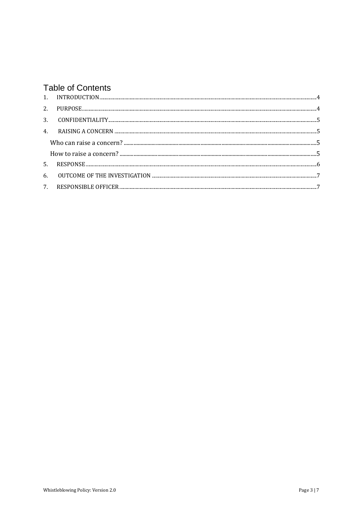# **Table of Contents**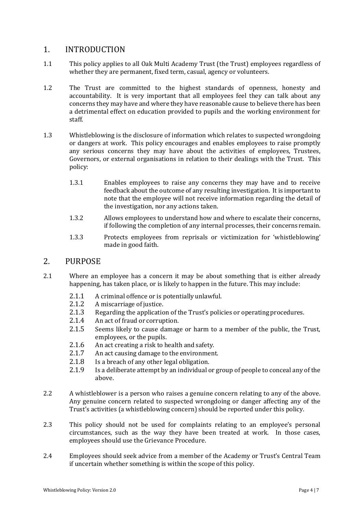#### <span id="page-3-0"></span>1. INTRODUCTION

- 1.1 This policy applies to all Oak Multi Academy Trust (the Trust) employees regardless of whether they are permanent, fixed term, casual, agency or volunteers.
- 1.2 The Trust are committed to the highest standards of openness, honesty and accountability. It is very important that all employees feel they can talk about any concerns they may have and where they have reasonable cause to believe there has been a detrimental effect on education provided to pupils and the working environment for staff.
- 1.3 Whistleblowing is the disclosure of information which relates to suspected wrongdoing or dangers at work. This policy encourages and enables employees to raise promptly any serious concerns they may have about the activities of employees, Trustees, Governors, or external organisations in relation to their dealings with the Trust. This policy:
	- 1.3.1 Enables employees to raise any concerns they may have and to receive feedback about the outcome of any resulting investigation. It is important to note that the employee will not receive information regarding the detail of the investigation, nor any actions taken.
	- 1.3.2 Allows employees to understand how and where to escalate their concerns, if following the completion of any internal processes, their concerns remain.
	- 1.3.3 Protects employees from reprisals or victimization for 'whistleblowing' made in good faith.

#### <span id="page-3-1"></span>2. PURPOSE

- 2.1 Where an employee has a concern it may be about something that is either already happening, has taken place, or is likely to happen in the future. This may include:
	- 2.1.1 A criminal offence or is potentially unlawful.
	- 2.1.2 A miscarriage of justice.
	- 2.1.3 Regarding the application of the Trust's policies or operating procedures.
	- 2.1.4 An act of fraud or corruption.
	- 2.1.5 Seems likely to cause damage or harm to a member of the public, the Trust, employees, or the pupils.
	- 2.1.6 An act creating a risk to health and safety.
	- 2.1.7 An act causing damage to the environment.
	- 2.1.8 Is a breach of any other legal obligation.
	- 2.1.9 Is a deliberate attempt by an individual or group of people to conceal any of the above.
- 2.2 A whistleblower is a person who raises a genuine concern relating to any of the above. Any genuine concern related to suspected wrongdoing or danger affecting any of the Trust's activities (a whistleblowing concern) should be reported under this policy.
- 2.3 This policy should not be used for complaints relating to an employee's personal circumstances, such as the way they have been treated at work. In those cases, employees should use the Grievance Procedure.
- 2.4 Employees should seek advice from a member of the Academy or Trust's Central Team if uncertain whether something is within the scope of this policy.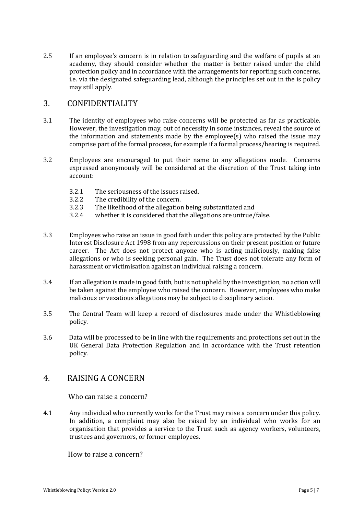2.5 If an employee's concern is in relation to safeguarding and the welfare of pupils at an academy, they should consider whether the matter is better raised under the child protection policy and in accordance with the arrangements for reporting such concerns, i.e. via the designated safeguarding lead, although the principles set out in the is policy may still apply.

## <span id="page-4-0"></span>3. CONFIDENTIALITY

- 3.1 The identity of employees who raise concerns will be protected as far as practicable. However, the investigation may, out of necessity in some instances, reveal the source of the information and statements made by the employee(s) who raised the issue may comprise part of the formal process, for example if a formal process/hearing is required.
- 3.2 Employees are encouraged to put their name to any allegations made. Concerns expressed anonymously will be considered at the discretion of the Trust taking into account:
	- 3.2.1 The seriousness of the issues raised.
	- 3.2.2 The credibility of the concern.
	- 3.2.3 The likelihood of the allegation being substantiated and
	- 3.2.4 whether it is considered that the allegations are untrue/false.
- 3.3 Employees who raise an issue in good faith under this policy are protected by the Public Interest Disclosure Act 1998 from any repercussions on their present position or future career. The Act does not protect anyone who is acting maliciously, making false allegations or who is seeking personal gain. The Trust does not tolerate any form of harassment or victimisation against an individual raising a concern.
- 3.4 If an allegation is made in good faith, but is not upheld by the investigation, no action will be taken against the employee who raised the concern. However, employees who make malicious or vexatious allegations may be subject to disciplinary action.
- 3.5 The Central Team will keep a record of disclosures made under the Whistleblowing policy.
- 3.6 Data will be processed to be in line with the requirements and protections set out in the UK General Data Protection Regulation and in accordance with the Trust retention policy.

# <span id="page-4-1"></span>4. RAISING A CONCERN

<span id="page-4-2"></span>Who can raise a concern?

4.1 Any individual who currently works for the Trust may raise a concern under this policy. In addition, a complaint may also be raised by an individual who works for an organisation that provides a service to the Trust such as agency workers, volunteers, trustees and governors, or former employees.

<span id="page-4-3"></span>How to raise a concern?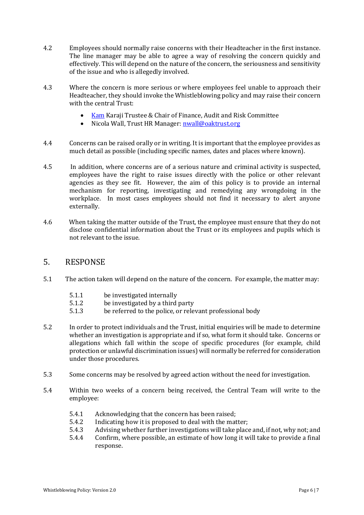- 4.2 Employees should normally raise concerns with their Headteacher in the first instance. The line manager may be able to agree a way of resolving the concern quickly and effectively. This will depend on the nature of the concern, the seriousness and sensitivity of the issue and who is allegedly involved.
- 4.3 Where the concern is more serious or where employees feel unable to approach their Headteacher, they should invoke the Whistleblowing policy and may raise their concern with the central Trust:
	- [Kam](mailto:Kam) Karaji Trustee & Chair of Finance, Audit and Risk Committee
	- Nicola Wall, Trust HR Manager: [nwall@oaktrust.org](mailto:nwall@oaktrust.org)
- 4.4 Concerns can be raised orally or in writing. It is important that the employee provides as much detail as possible (including specific names, dates and places where known).
- 4.5 In addition, where concerns are of a serious nature and criminal activity is suspected, employees have the right to raise issues directly with the police or other relevant agencies as they see fit. However, the aim of this policy is to provide an internal mechanism for reporting, investigating and remedying any wrongdoing in the workplace. In most cases employees should not find it necessary to alert anyone externally.
- 4.6 When taking the matter outside of the Trust, the employee must ensure that they do not disclose confidential information about the Trust or its employees and pupils which is not relevant to the issue.

#### <span id="page-5-0"></span>5. RESPONSE

- 5.1 The action taken will depend on the nature of the concern. For example, the matter may:
	- 5.1.1 be investigated internally
	- 5.1.2 be investigated by a third party
	- 5.1.3 be referred to the police, or relevant professional body
- 5.2 In order to protect individuals and the Trust, initial enquiries will be made to determine whether an investigation is appropriate and if so, what form it should take. Concerns or allegations which fall within the scope of specific procedures (for example, child protection or unlawful discrimination issues) will normally be referred for consideration under those procedures.
- 5.3 Some concerns may be resolved by agreed action without the need for investigation.
- 5.4 Within two weeks of a concern being received, the Central Team will write to the employee:
	- 5.4.1 Acknowledging that the concern has been raised;
	- 5.4.2 Indicating how it is proposed to deal with the matter;
	- 5.4.3 Advising whether further investigations will take place and, if not, why not; and
	- 5.4.4 Confirm, where possible, an estimate of how long it will take to provide a final response.